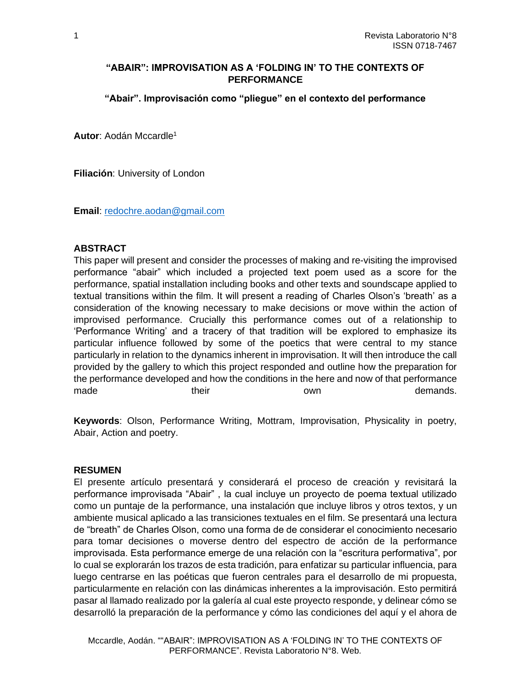### **"ABAIR": IMPROVISATION AS A 'FOLDING IN' TO THE CONTEXTS OF PERFORMANCE**

**"Abair". Improvisación como "pliegue" en el contexto del performance**

**Autor**: Aodán Mccardle<sup>1</sup>

**Filiación**: University of London

**Email**: [redochre.aodan@gmail.com](mailto:redochre.aodan@gmail.com)

#### **ABSTRACT**

This paper will present and consider the processes of making and re-visiting the improvised performance "abair" which included a projected text poem used as a score for the performance, spatial installation including books and other texts and soundscape applied to textual transitions within the film. It will present a reading of Charles Olson's 'breath' as a consideration of the knowing necessary to make decisions or move within the action of improvised performance. Crucially this performance comes out of a relationship to 'Performance Writing' and a tracery of that tradition will be explored to emphasize its particular influence followed by some of the poetics that were central to my stance particularly in relation to the dynamics inherent in improvisation. It will then introduce the call provided by the gallery to which this project responded and outline how the preparation for the performance developed and how the conditions in the here and now of that performance made their their own own demands.

**Keywords**: Olson, Performance Writing, Mottram, Improvisation, Physicality in poetry, Abair, Action and poetry.

#### **RESUMEN**

El presente artículo presentará y considerará el proceso de creación y revisitará la performance improvisada "Abair" , la cual incluye un proyecto de poema textual utilizado como un puntaje de la performance, una instalación que incluye libros y otros textos, y un ambiente musical aplicado a las transiciones textuales en el film. Se presentará una lectura de "breath" de Charles Olson, como una forma de de considerar el conocimiento necesario para tomar decisiones o moverse dentro del espectro de acción de la performance improvisada. Esta performance emerge de una relación con la "escritura performativa", por lo cual se explorarán los trazos de esta tradición, para enfatizar su particular influencia, para luego centrarse en las poéticas que fueron centrales para el desarrollo de mi propuesta, particularmente en relación con las dinámicas inherentes a la improvisación. Esto permitirá pasar al llamado realizado por la galería al cual este proyecto responde, y delinear cómo se desarrolló la preparación de la performance y cómo las condiciones del aquí y el ahora de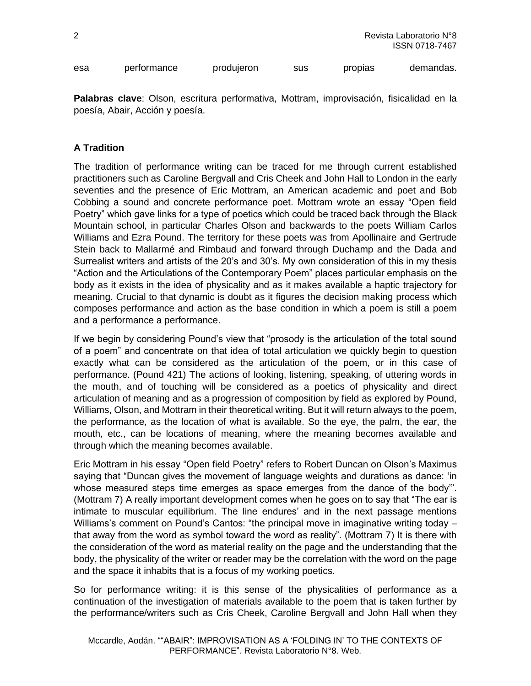| produjeron<br>performance<br>esa | sus | propias | demandas. |
|----------------------------------|-----|---------|-----------|
|----------------------------------|-----|---------|-----------|

**Palabras clave**: Olson, escritura performativa, Mottram, improvisación, fisicalidad en la poesía, Abair, Acción y poesía.

## **A Tradition**

The tradition of performance writing can be traced for me through current established practitioners such as Caroline Bergvall and Cris Cheek and John Hall to London in the early seventies and the presence of Eric Mottram, an American academic and poet and Bob Cobbing a sound and concrete performance poet. Mottram wrote an essay "Open field Poetry" which gave links for a type of poetics which could be traced back through the Black Mountain school, in particular Charles Olson and backwards to the poets William Carlos Williams and Ezra Pound. The territory for these poets was from Apollinaire and Gertrude Stein back to Mallarmé and Rimbaud and forward through Duchamp and the Dada and Surrealist writers and artists of the 20's and 30's. My own consideration of this in my thesis "Action and the Articulations of the Contemporary Poem" places particular emphasis on the body as it exists in the idea of physicality and as it makes available a haptic trajectory for meaning. Crucial to that dynamic is doubt as it figures the decision making process which composes performance and action as the base condition in which a poem is still a poem and a performance a performance.

If we begin by considering Pound's view that "prosody is the articulation of the total sound of a poem" and concentrate on that idea of total articulation we quickly begin to question exactly what can be considered as the articulation of the poem, or in this case of performance. (Pound 421) The actions of looking, listening, speaking, of uttering words in the mouth, and of touching will be considered as a poetics of physicality and direct articulation of meaning and as a progression of composition by field as explored by Pound, Williams, Olson, and Mottram in their theoretical writing. But it will return always to the poem, the performance, as the location of what is available. So the eye, the palm, the ear, the mouth, etc., can be locations of meaning, where the meaning becomes available and through which the meaning becomes available.

Eric Mottram in his essay "Open field Poetry" refers to Robert Duncan on Olson's Maximus saying that "Duncan gives the movement of language weights and durations as dance: 'in whose measured steps time emerges as space emerges from the dance of the body'". (Mottram 7) A really important development comes when he goes on to say that "The ear is intimate to muscular equilibrium. The line endures' and in the next passage mentions Williams's comment on Pound's Cantos: "the principal move in imaginative writing today – that away from the word as symbol toward the word as reality". (Mottram 7) It is there with the consideration of the word as material reality on the page and the understanding that the body, the physicality of the writer or reader may be the correlation with the word on the page and the space it inhabits that is a focus of my working poetics.

So for performance writing: it is this sense of the physicalities of performance as a continuation of the investigation of materials available to the poem that is taken further by the performance/writers such as Cris Cheek, Caroline Bergvall and John Hall when they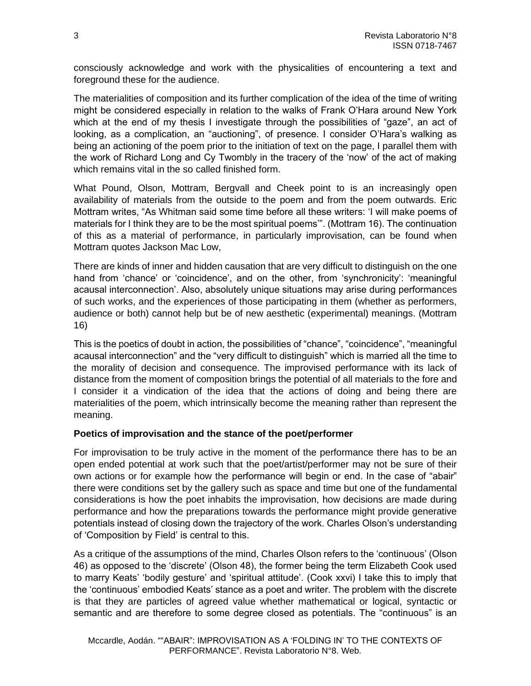consciously acknowledge and work with the physicalities of encountering a text and foreground these for the audience.

The materialities of composition and its further complication of the idea of the time of writing might be considered especially in relation to the walks of Frank O'Hara around New York which at the end of my thesis I investigate through the possibilities of "gaze", an act of looking, as a complication, an "auctioning", of presence. I consider O'Hara's walking as being an actioning of the poem prior to the initiation of text on the page, I parallel them with the work of Richard Long and Cy Twombly in the tracery of the 'now' of the act of making which remains vital in the so called finished form.

What Pound, Olson, Mottram, Bergvall and Cheek point to is an increasingly open availability of materials from the outside to the poem and from the poem outwards. Eric Mottram writes, "As Whitman said some time before all these writers: 'I will make poems of materials for I think they are to be the most spiritual poems'". (Mottram 16). The continuation of this as a material of performance, in particularly improvisation, can be found when Mottram quotes Jackson Mac Low,

There are kinds of inner and hidden causation that are very difficult to distinguish on the one hand from 'chance' or 'coincidence', and on the other, from 'synchronicity': 'meaningful acausal interconnection'. Also, absolutely unique situations may arise during performances of such works, and the experiences of those participating in them (whether as performers, audience or both) cannot help but be of new aesthetic (experimental) meanings. (Mottram 16)

This is the poetics of doubt in action, the possibilities of "chance", "coincidence", "meaningful acausal interconnection" and the "very difficult to distinguish" which is married all the time to the morality of decision and consequence. The improvised performance with its lack of distance from the moment of composition brings the potential of all materials to the fore and I consider it a vindication of the idea that the actions of doing and being there are materialities of the poem, which intrinsically become the meaning rather than represent the meaning.

## **Poetics of improvisation and the stance of the poet/performer**

For improvisation to be truly active in the moment of the performance there has to be an open ended potential at work such that the poet/artist/performer may not be sure of their own actions or for example how the performance will begin or end. In the case of "abair" there were conditions set by the gallery such as space and time but one of the fundamental considerations is how the poet inhabits the improvisation, how decisions are made during performance and how the preparations towards the performance might provide generative potentials instead of closing down the trajectory of the work. Charles Olson's understanding of 'Composition by Field' is central to this.

As a critique of the assumptions of the mind, Charles Olson refers to the 'continuous' (Olson 46) as opposed to the 'discrete' (Olson 48), the former being the term Elizabeth Cook used to marry Keats' 'bodily gesture' and 'spiritual attitude'. (Cook xxvi) I take this to imply that the 'continuous' embodied Keats' stance as a poet and writer. The problem with the discrete is that they are particles of agreed value whether mathematical or logical, syntactic or semantic and are therefore to some degree closed as potentials. The "continuous" is an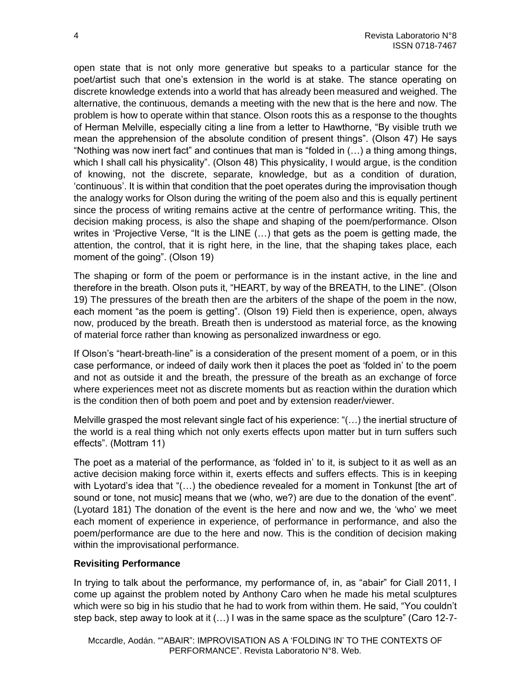open state that is not only more generative but speaks to a particular stance for the poet/artist such that one's extension in the world is at stake. The stance operating on discrete knowledge extends into a world that has already been measured and weighed. The alternative, the continuous, demands a meeting with the new that is the here and now. The problem is how to operate within that stance. Olson roots this as a response to the thoughts of Herman Melville, especially citing a line from a letter to Hawthorne, "By visible truth we mean the apprehension of the absolute condition of present things". (Olson 47) He says "Nothing was now inert fact" and continues that man is "folded in (…) a thing among things, which I shall call his physicality". (Olson 48) This physicality, I would argue, is the condition of knowing, not the discrete, separate, knowledge, but as a condition of duration, 'continuous'. It is within that condition that the poet operates during the improvisation though the analogy works for Olson during the writing of the poem also and this is equally pertinent since the process of writing remains active at the centre of performance writing. This, the decision making process, is also the shape and shaping of the poem/performance. Olson writes in 'Projective Verse, "It is the LINE (…) that gets as the poem is getting made, the attention, the control, that it is right here, in the line, that the shaping takes place, each moment of the going". (Olson 19)

The shaping or form of the poem or performance is in the instant active, in the line and therefore in the breath. Olson puts it, "HEART, by way of the BREATH, to the LINE". (Olson 19) The pressures of the breath then are the arbiters of the shape of the poem in the now, each moment "as the poem is getting". (Olson 19) Field then is experience, open, always now, produced by the breath. Breath then is understood as material force, as the knowing of material force rather than knowing as personalized inwardness or ego.

If Olson's "heart-breath-line" is a consideration of the present moment of a poem, or in this case performance, or indeed of daily work then it places the poet as 'folded in' to the poem and not as outside it and the breath, the pressure of the breath as an exchange of force where experiences meet not as discrete moments but as reaction within the duration which is the condition then of both poem and poet and by extension reader/viewer.

Melville grasped the most relevant single fact of his experience: "(…) the inertial structure of the world is a real thing which not only exerts effects upon matter but in turn suffers such effects". (Mottram 11)

The poet as a material of the performance, as 'folded in' to it, is subject to it as well as an active decision making force within it, exerts effects and suffers effects. This is in keeping with Lyotard's idea that "(...) the obedience revealed for a moment in Tonkunst [the art of sound or tone, not music] means that we (who, we?) are due to the donation of the event". (Lyotard 181) The donation of the event is the here and now and we, the 'who' we meet each moment of experience in experience, of performance in performance, and also the poem/performance are due to the here and now. This is the condition of decision making within the improvisational performance.

## **Revisiting Performance**

In trying to talk about the performance, my performance of, in, as "abair" for Ciall 2011, I come up against the problem noted by Anthony Caro when he made his metal sculptures which were so big in his studio that he had to work from within them. He said, "You couldn't step back, step away to look at it (…) I was in the same space as the sculpture" (Caro 12-7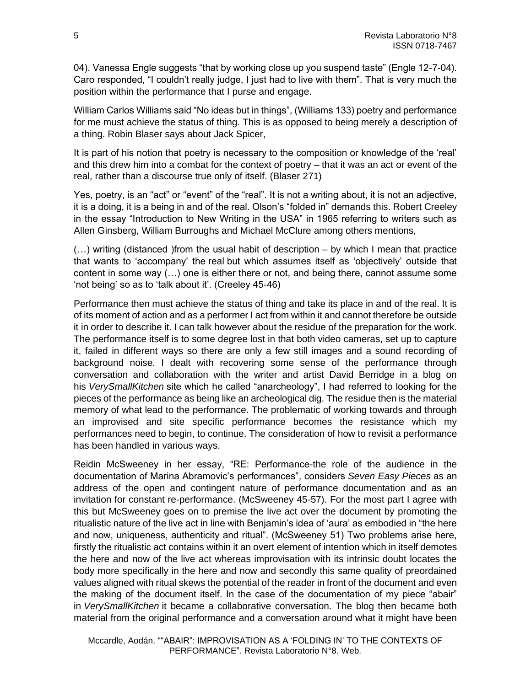04). Vanessa Engle suggests "that by working close up you suspend taste" (Engle 12-7-04). Caro responded, "I couldn't really judge, I just had to live with them". That is very much the position within the performance that I purse and engage.

William Carlos Williams said "No ideas but in things", (Williams 133) poetry and performance for me must achieve the status of thing. This is as opposed to being merely a description of a thing. Robin Blaser says about Jack Spicer,

It is part of his notion that poetry is necessary to the composition or knowledge of the 'real' and this drew him into a combat for the context of poetry – that it was an act or event of the real, rather than a discourse true only of itself. (Blaser 271)

Yes, poetry, is an "act" or "event" of the "real". It is not a writing about, it is not an adjective, it is a doing, it is a being in and of the real. Olson's "folded in" demands this. Robert Creeley in the essay "Introduction to New Writing in the USA" in 1965 referring to writers such as Allen Ginsberg, William Burroughs and Michael McClure among others mentions,

(…) writing (distanced )from the usual habit of description – by which I mean that practice that wants to 'accompany' the real but which assumes itself as 'objectively' outside that content in some way (…) one is either there or not, and being there, cannot assume some 'not being' so as to 'talk about it'. (Creeley 45-46)

Performance then must achieve the status of thing and take its place in and of the real. It is of its moment of action and as a performer I act from within it and cannot therefore be outside it in order to describe it. I can talk however about the residue of the preparation for the work. The performance itself is to some degree lost in that both video cameras, set up to capture it, failed in different ways so there are only a few still images and a sound recording of background noise. I dealt with recovering some sense of the performance through conversation and collaboration with the writer and artist David Berridge in a blog on his *VerySmallKitchen* site which he called "anarcheology", I had referred to looking for the pieces of the performance as being like an archeological dig. The residue then is the material memory of what lead to the performance. The problematic of working towards and through an improvised and site specific performance becomes the resistance which my performances need to begin, to continue. The consideration of how to revisit a performance has been handled in various ways.

Reidin McSweeney in her essay, "RE: Performance-the role of the audience in the documentation of Marina Abramovic's performances", considers *Seven Easy Pieces* as an address of the open and contingent nature of performance documentation and as an invitation for constant re-performance. (McSweeney 45-57). For the most part I agree with this but McSweeney goes on to premise the live act over the document by promoting the ritualistic nature of the live act in line with Benjamin's idea of 'aura' as embodied in "the here and now, uniqueness, authenticity and ritual". (McSweeney 51) Two problems arise here, firstly the ritualistic act contains within it an overt element of intention which in itself demotes the here and now of the live act whereas improvisation with its intrinsic doubt locates the body more specifically in the here and now and secondly this same quality of preordained values aligned with ritual skews the potential of the reader in front of the document and even the making of the document itself. In the case of the documentation of my piece "abair" in *VerySmallKitchen* it became a collaborative conversation. The blog then became both material from the original performance and a conversation around what it might have been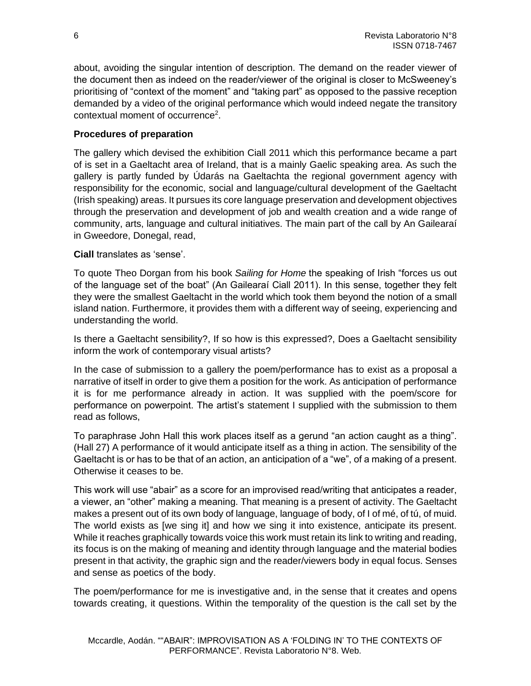about, avoiding the singular intention of description. The demand on the reader viewer of the document then as indeed on the reader/viewer of the original is closer to McSweeney's prioritising of "context of the moment" and "taking part" as opposed to the passive reception demanded by a video of the original performance which would indeed negate the transitory contextual moment of occurrence<sup>2</sup>.

# **Procedures of preparation**

The gallery which devised the exhibition Ciall 2011 which this performance became a part of is set in a Gaeltacht area of Ireland, that is a mainly Gaelic speaking area. As such the gallery is partly funded by Údarás na Gaeltachta the regional government agency with responsibility for the economic, social and language/cultural development of the Gaeltacht (Irish speaking) areas. It pursues its core language preservation and development objectives through the preservation and development of job and wealth creation and a wide range of community, arts, language and cultural initiatives. The main part of the call by An Gailearaí in Gweedore, Donegal, read,

**Ciall** translates as 'sense'.

To quote Theo Dorgan from his book *Sailing for Home* the speaking of Irish "forces us out of the language set of the boat" (An Gailearaí Ciall 2011). In this sense, together they felt they were the smallest Gaeltacht in the world which took them beyond the notion of a small island nation. Furthermore, it provides them with a different way of seeing, experiencing and understanding the world.

Is there a Gaeltacht sensibility?, If so how is this expressed?, Does a Gaeltacht sensibility inform the work of contemporary visual artists?

In the case of submission to a gallery the poem/performance has to exist as a proposal a narrative of itself in order to give them a position for the work. As anticipation of performance it is for me performance already in action. It was supplied with the poem/score for performance on powerpoint. The artist's statement I supplied with the submission to them read as follows,

To paraphrase John Hall this work places itself as a gerund "an action caught as a thing". (Hall 27) A performance of it would anticipate itself as a thing in action. The sensibility of the Gaeltacht is or has to be that of an action, an anticipation of a "we", of a making of a present. Otherwise it ceases to be.

This work will use "abair" as a score for an improvised read/writing that anticipates a reader, a viewer, an "other" making a meaning. That meaning is a present of activity. The Gaeltacht makes a present out of its own body of language, language of body, of I of mé, of tú, of muid. The world exists as [we sing it] and how we sing it into existence, anticipate its present. While it reaches graphically towards voice this work must retain its link to writing and reading, its focus is on the making of meaning and identity through language and the material bodies present in that activity, the graphic sign and the reader/viewers body in equal focus. Senses and sense as poetics of the body.

The poem/performance for me is investigative and, in the sense that it creates and opens towards creating, it questions. Within the temporality of the question is the call set by the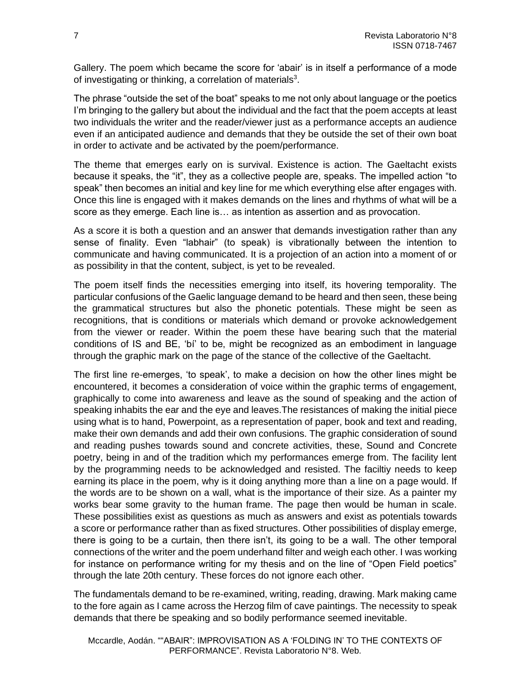Gallery. The poem which became the score for 'abair' is in itself a performance of a mode of investigating or thinking, a correlation of materials<sup>3</sup>.

The phrase "outside the set of the boat" speaks to me not only about language or the poetics I'm bringing to the gallery but about the individual and the fact that the poem accepts at least two individuals the writer and the reader/viewer just as a performance accepts an audience even if an anticipated audience and demands that they be outside the set of their own boat in order to activate and be activated by the poem/performance.

The theme that emerges early on is survival. Existence is action. The Gaeltacht exists because it speaks, the "it", they as a collective people are, speaks. The impelled action "to speak" then becomes an initial and key line for me which everything else after engages with. Once this line is engaged with it makes demands on the lines and rhythms of what will be a score as they emerge. Each line is… as intention as assertion and as provocation.

As a score it is both a question and an answer that demands investigation rather than any sense of finality. Even "labhair" (to speak) is vibrationally between the intention to communicate and having communicated. It is a projection of an action into a moment of or as possibility in that the content, subject, is yet to be revealed.

The poem itself finds the necessities emerging into itself, its hovering temporality. The particular confusions of the Gaelic language demand to be heard and then seen, these being the grammatical structures but also the phonetic potentials. These might be seen as recognitions, that is conditions or materials which demand or provoke acknowledgement from the viewer or reader. Within the poem these have bearing such that the material conditions of IS and BE, 'bí' to be, might be recognized as an embodiment in language through the graphic mark on the page of the stance of the collective of the Gaeltacht.

The first line re-emerges, 'to speak', to make a decision on how the other lines might be encountered, it becomes a consideration of voice within the graphic terms of engagement, graphically to come into awareness and leave as the sound of speaking and the action of speaking inhabits the ear and the eye and leaves.The resistances of making the initial piece using what is to hand, Powerpoint, as a representation of paper, book and text and reading, make their own demands and add their own confusions. The graphic consideration of sound and reading pushes towards sound and concrete activities, these, Sound and Concrete poetry, being in and of the tradition which my performances emerge from. The facility lent by the programming needs to be acknowledged and resisted. The faciltiy needs to keep earning its place in the poem, why is it doing anything more than a line on a page would. If the words are to be shown on a wall, what is the importance of their size. As a painter my works bear some gravity to the human frame. The page then would be human in scale. These possibilities exist as questions as much as answers and exist as potentials towards a score or performance rather than as fixed structures. Other possibilities of display emerge, there is going to be a curtain, then there isn't, its going to be a wall. The other temporal connections of the writer and the poem underhand filter and weigh each other. I was working for instance on performance writing for my thesis and on the line of "Open Field poetics" through the late 20th century. These forces do not ignore each other.

The fundamentals demand to be re-examined, writing, reading, drawing. Mark making came to the fore again as I came across the Herzog film of cave paintings. The necessity to speak demands that there be speaking and so bodily performance seemed inevitable.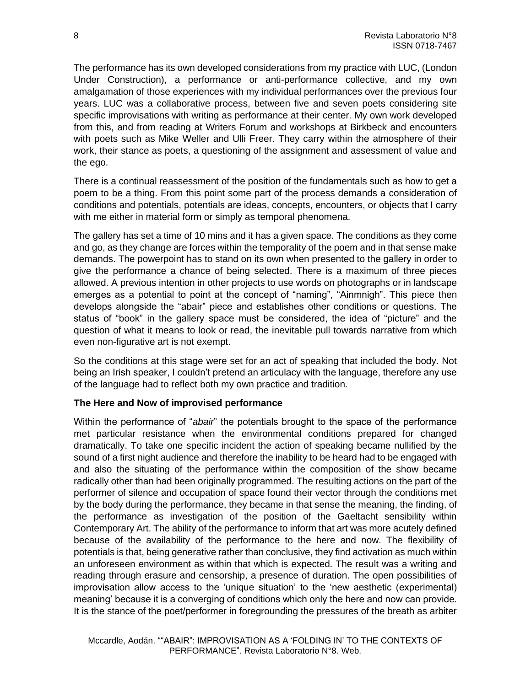The performance has its own developed considerations from my practice with LUC, (London Under Construction), a performance or anti-performance collective, and my own amalgamation of those experiences with my individual performances over the previous four years. LUC was a collaborative process, between five and seven poets considering site specific improvisations with writing as performance at their center. My own work developed from this, and from reading at Writers Forum and workshops at Birkbeck and encounters with poets such as Mike Weller and Ulli Freer. They carry within the atmosphere of their work, their stance as poets, a questioning of the assignment and assessment of value and the ego.

There is a continual reassessment of the position of the fundamentals such as how to get a poem to be a thing. From this point some part of the process demands a consideration of conditions and potentials, potentials are ideas, concepts, encounters, or objects that I carry with me either in material form or simply as temporal phenomena.

The gallery has set a time of 10 mins and it has a given space. The conditions as they come and go, as they change are forces within the temporality of the poem and in that sense make demands. The powerpoint has to stand on its own when presented to the gallery in order to give the performance a chance of being selected. There is a maximum of three pieces allowed. A previous intention in other projects to use words on photographs or in landscape emerges as a potential to point at the concept of "naming", "Ainmnigh". This piece then develops alongside the "abair" piece and establishes other conditions or questions. The status of "book" in the gallery space must be considered, the idea of "picture" and the question of what it means to look or read, the inevitable pull towards narrative from which even non-figurative art is not exempt.

So the conditions at this stage were set for an act of speaking that included the body. Not being an Irish speaker, I couldn't pretend an articulacy with the language, therefore any use of the language had to reflect both my own practice and tradition.

## **The Here and Now of improvised performance**

Within the performance of "*abair*" the potentials brought to the space of the performance met particular resistance when the environmental conditions prepared for changed dramatically. To take one specific incident the action of speaking became nullified by the sound of a first night audience and therefore the inability to be heard had to be engaged with and also the situating of the performance within the composition of the show became radically other than had been originally programmed. The resulting actions on the part of the performer of silence and occupation of space found their vector through the conditions met by the body during the performance, they became in that sense the meaning, the finding, of the performance as investigation of the position of the Gaeltacht sensibility within Contemporary Art. The ability of the performance to inform that art was more acutely defined because of the availability of the performance to the here and now. The flexibility of potentials is that, being generative rather than conclusive, they find activation as much within an unforeseen environment as within that which is expected. The result was a writing and reading through erasure and censorship, a presence of duration. The open possibilities of improvisation allow access to the 'unique situation' to the 'new aesthetic (experimental) meaning' because it is a converging of conditions which only the here and now can provide. It is the stance of the poet/performer in foregrounding the pressures of the breath as arbiter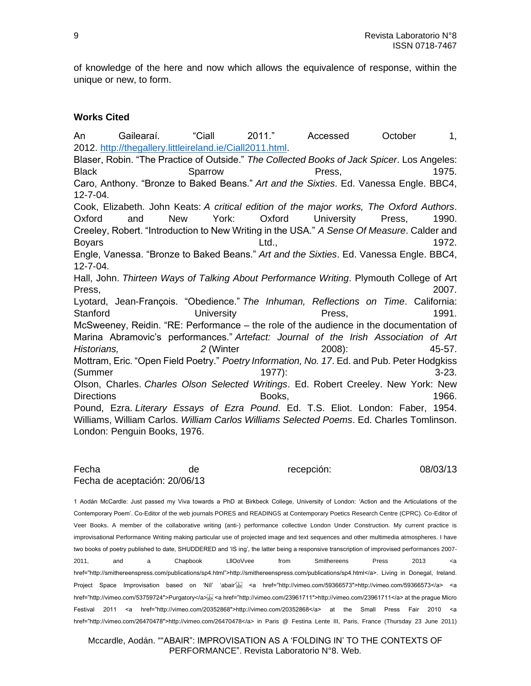of knowledge of the here and now which allows the equivalence of response, within the unique or new, to form.

#### **Works Cited**

An Gailearaí. "Ciall 2011." Accessed October 1, 2012. [http://thegallery.littleireland.ie/Ciall2011.html.](http://thegallery.littleireland.ie/Ciall2011.html) Blaser, Robin. "The Practice of Outside." *The Collected Books of Jack Spicer*. Los Angeles: Black Sparrow Sparrow Press, 2007 Sparrow Press, Caro, Anthony. "Bronze to Baked Beans." *Art and the Sixties*. Ed. Vanessa Engle. BBC4, 12-7-04. Cook, Elizabeth. John Keats: *A critical edition of the major works, The Oxford Authors*. Oxford and New York: Oxford University Press, 1990. Creeley, Robert. "Introduction to New Writing in the USA." *A Sense Of Measure*. Calder and Boyars **Example 2018** Ltd., **Ltd.,** 2009 Ltd., 2009 2019 202. Engle, Vanessa. "Bronze to Baked Beans." *Art and the Sixties*. Ed. Vanessa Engle. BBC4, 12-7-04. Hall, John. *Thirteen Ways of Talking About Performance Writing*. Plymouth College of Art Press, 2007. Lyotard, Jean-François. "Obedience." *The Inhuman, Reflections on Time*. California: Stanford University Press, 2001. McSweeney, Reidin. "RE: Performance – the role of the audience in the documentation of Marina Abramovic's performances." *Artefact: Journal of the Irish Association of Art Historians, 2* (Winter 2008): 45-57. Mottram, Eric. "Open Field Poetry." *Poetry Information, No. 17*. Ed. and Pub. Peter Hodgkiss (Summer 1977): 3-23. Olson, Charles. *Charles Olson Selected Writings*. Ed. Robert Creeley. New York: New Directions **Books**, **1966**. Pound, Ezra. *Literary Essays of Ezra Pound*. Ed. T.S. Eliot. London: Faber, 1954. Williams, William Carlos. *William Carlos Williams Selected Poems*. Ed. Charles Tomlinson. London: Penguin Books, 1976.

#### Fecha de recepción: 08/03/13 Fecha de aceptación: 20/06/13

1 Aodán McCardle: Just passed my Viva towards a PhD at Birkbeck College, University of London: 'Action and the Articulations of the Contemporary Poem'. Co-Editor of the web journals PORES and READINGS at Contemporary Poetics Research Centre (CPRC). Co-Editor of Veer Books. A member of the collaborative writing (anti-) performance collective London Under Construction. My current practice is improvisational Performance Writing making particular use of projected image and text sequences and other multimedia atmospheres. I have two books of poetry published to date, SHUDDERED and 'IS ing', the latter being a responsive transcription of improvised performances 2007- 2011, and a Chapbook LllOoVvee from Smithereens Press 2013 <a href="http://smithereenspress.com/publications/sp4.html">http://smithereenspress.com/publications/sp4.html</a>. Living in Donegal, Ireland. Project Space Improvisation based on 'Níl' 'abair' a href="http://vimeo.com/59366573">http://vimeo.com/59366573</a> <a href="http://vimeo.com/53759724">Purgatory</a> Festival 2011 <a href="http://vimeo.com/20352868″>http://vimeo.com/20352868</a> at the Small Press Fair 2010 <a href="http://vimeo.com/26470478">http://vimeo.com/26470478</a> in Paris @ Festina Lente III, Paris, France (Thursday 23 June 2011)

Mccardle, Aodán. ""ABAIR": IMPROVISATION AS A 'FOLDING IN' TO THE CONTEXTS OF PERFORMANCE". Revista Laboratorio N°8. Web.